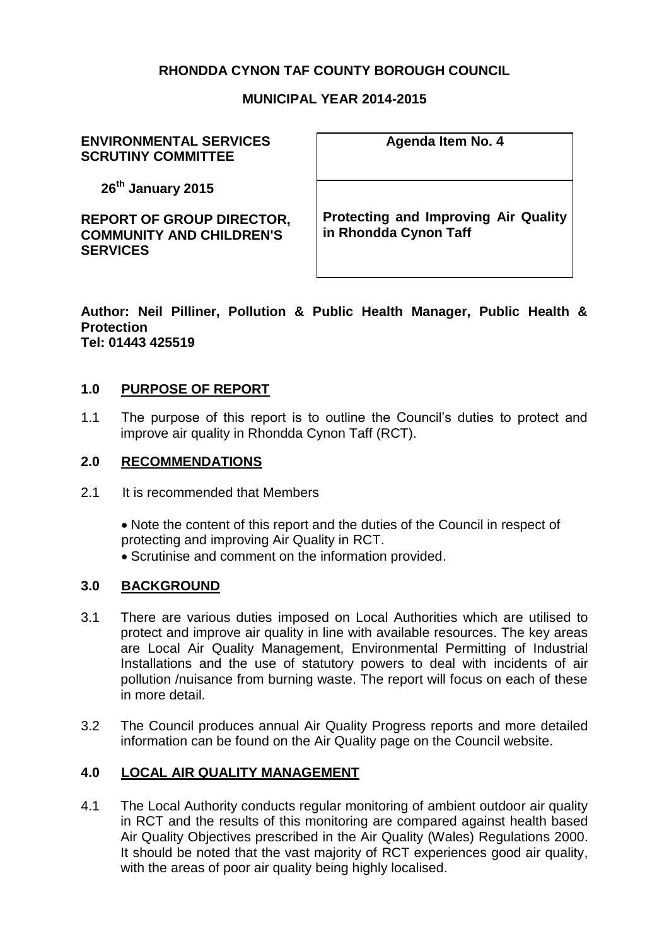# **RHONDDA CYNON TAF COUNTY BOROUGH COUNCIL**

#### **MUNICIPAL YEAR 2014-2015**

#### **ENVIRONMENTAL SERVICES SCRUTINY COMMITTEE**

**26th January 2015**

**REPORT OF GROUP DIRECTOR, COMMUNITY AND CHILDREN'S SERVICES** 

**Agenda Item No. 4**

**Protecting and Improving Air Quality in Rhondda Cynon Taff**

**Author: Neil Pilliner, Pollution & Public Health Manager, Public Health & Protection Tel: 01443 425519**

#### **1.0 PURPOSE OF REPORT**

1.1 The purpose of this report is to outline the Council's duties to protect and improve air quality in Rhondda Cynon Taff (RCT).

### **2.0 RECOMMENDATIONS**

2.1 It is recommended that Members

Note the content of this report and the duties of the Council in respect of protecting and improving Air Quality in RCT. • Scrutinise and comment on the information provided.

#### **3.0 BACKGROUND**

- 3.1 There are various duties imposed on Local Authorities which are utilised to protect and improve air quality in line with available resources. The key areas are Local Air Quality Management, Environmental Permitting of Industrial Installations and the use of statutory powers to deal with incidents of air pollution /nuisance from burning waste. The report will focus on each of these in more detail.
- 3.2 The Council produces annual Air Quality Progress reports and more detailed information can be found on the Air Quality page on the Council website.

### **4.0 LOCAL AIR QUALITY MANAGEMENT**

4.1 The Local Authority conducts regular monitoring of ambient outdoor air quality in RCT and the results of this monitoring are compared against health based Air Quality Objectives prescribed in the Air Quality (Wales) Regulations 2000. It should be noted that the vast majority of RCT experiences good air quality, with the areas of poor air quality being highly localised.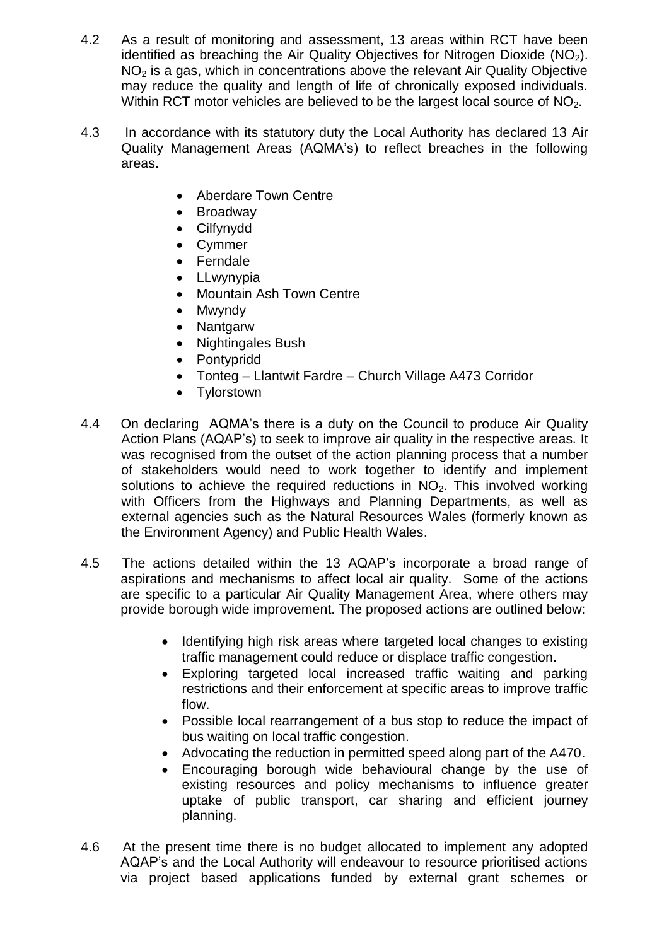- 4.2 As a result of monitoring and assessment, 13 areas within RCT have been identified as breaching the Air Quality Objectives for Nitrogen Dioxide  $(NO<sub>2</sub>)$ . NO<sub>2</sub> is a gas, which in concentrations above the relevant Air Quality Objective may reduce the quality and length of life of chronically exposed individuals. Within RCT motor vehicles are believed to be the largest local source of NO<sub>2</sub>.
- 4.3 In accordance with its statutory duty the Local Authority has declared 13 Air Quality Management Areas (AQMA's) to reflect breaches in the following areas.
	- Aberdare Town Centre
	- Broadway
	- Cilfynydd
	- Cymmer
	- Ferndale
	- LLwynypia
	- Mountain Ash Town Centre
	- Mwyndy
	- Nantgarw
	- Nightingales Bush
	- Pontypridd
	- Tonteg Llantwit Fardre Church Village A473 Corridor
	- Tylorstown
- 4.4 On declaring AQMA's there is a duty on the Council to produce Air Quality Action Plans (AQAP's) to seek to improve air quality in the respective areas. It was recognised from the outset of the action planning process that a number of stakeholders would need to work together to identify and implement solutions to achieve the required reductions in  $NO<sub>2</sub>$ . This involved working with Officers from the Highways and Planning Departments, as well as external agencies such as the Natural Resources Wales (formerly known as the Environment Agency) and Public Health Wales.
- 4.5 The actions detailed within the 13 AQAP's incorporate a broad range of aspirations and mechanisms to affect local air quality. Some of the actions are specific to a particular Air Quality Management Area, where others may provide borough wide improvement. The proposed actions are outlined below:
	- Identifying high risk areas where targeted local changes to existing traffic management could reduce or displace traffic congestion.
	- Exploring targeted local increased traffic waiting and parking restrictions and their enforcement at specific areas to improve traffic flow.
	- Possible local rearrangement of a bus stop to reduce the impact of bus waiting on local traffic congestion.
	- Advocating the reduction in permitted speed along part of the A470.
	- Encouraging borough wide behavioural change by the use of existing resources and policy mechanisms to influence greater uptake of public transport, car sharing and efficient journey planning.
- 4.6 At the present time there is no budget allocated to implement any adopted AQAP's and the Local Authority will endeavour to resource prioritised actions via project based applications funded by external grant schemes or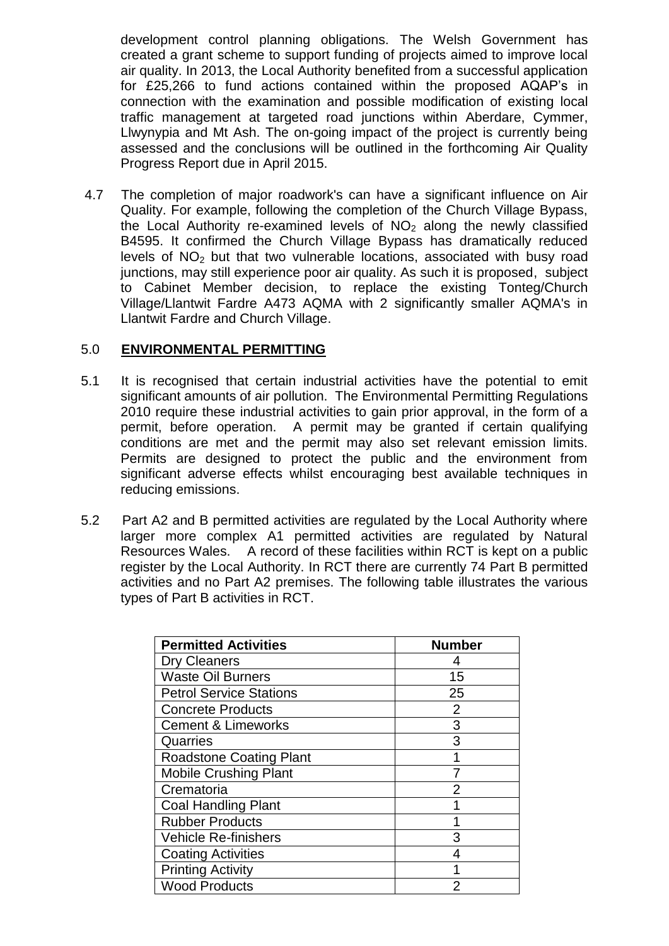development control planning obligations. The Welsh Government has created a grant scheme to support funding of projects aimed to improve local air quality. In 2013, the Local Authority benefited from a successful application for £25,266 to fund actions contained within the proposed AQAP's in connection with the examination and possible modification of existing local traffic management at targeted road junctions within Aberdare, Cymmer, Llwynypia and Mt Ash. The on-going impact of the project is currently being assessed and the conclusions will be outlined in the forthcoming Air Quality Progress Report due in April 2015.

4.7 The completion of major roadwork's can have a significant influence on Air Quality. For example, following the completion of the Church Village Bypass, the Local Authority re-examined levels of  $NO<sub>2</sub>$  along the newly classified B4595. It confirmed the Church Village Bypass has dramatically reduced levels of  $NO<sub>2</sub>$  but that two vulnerable locations, associated with busy road junctions, may still experience poor air quality. As such it is proposed, subject to Cabinet Member decision, to replace the existing Tonteg/Church Village/Llantwit Fardre A473 AQMA with 2 significantly smaller AQMA's in Llantwit Fardre and Church Village.

## 5.0 **ENVIRONMENTAL PERMITTING**

- 5.1 It is recognised that certain industrial activities have the potential to emit significant amounts of air pollution. The Environmental Permitting Regulations 2010 require these industrial activities to gain prior approval, in the form of a permit, before operation. A permit may be granted if certain qualifying conditions are met and the permit may also set relevant emission limits. Permits are designed to protect the public and the environment from significant adverse effects whilst encouraging best available techniques in reducing emissions.
- 5.2 Part A2 and B permitted activities are regulated by the Local Authority where larger more complex A1 permitted activities are regulated by Natural Resources Wales. A record of these facilities within RCT is kept on a public register by the Local Authority. In RCT there are currently 74 Part B permitted activities and no Part A2 premises. The following table illustrates the various types of Part B activities in RCT.

| <b>Permitted Activities</b>    | <b>Number</b>  |
|--------------------------------|----------------|
| <b>Dry Cleaners</b>            |                |
| <b>Waste Oil Burners</b>       | 15             |
| <b>Petrol Service Stations</b> | 25             |
| <b>Concrete Products</b>       | $\overline{2}$ |
| <b>Cement &amp; Limeworks</b>  | 3              |
| Quarries                       | 3              |
| <b>Roadstone Coating Plant</b> |                |
| <b>Mobile Crushing Plant</b>   |                |
| Crematoria                     | 2              |
| <b>Coal Handling Plant</b>     |                |
| <b>Rubber Products</b>         |                |
| <b>Vehicle Re-finishers</b>    | 3              |
| <b>Coating Activities</b>      |                |
| <b>Printing Activity</b>       |                |
| <b>Wood Products</b>           | $\overline{2}$ |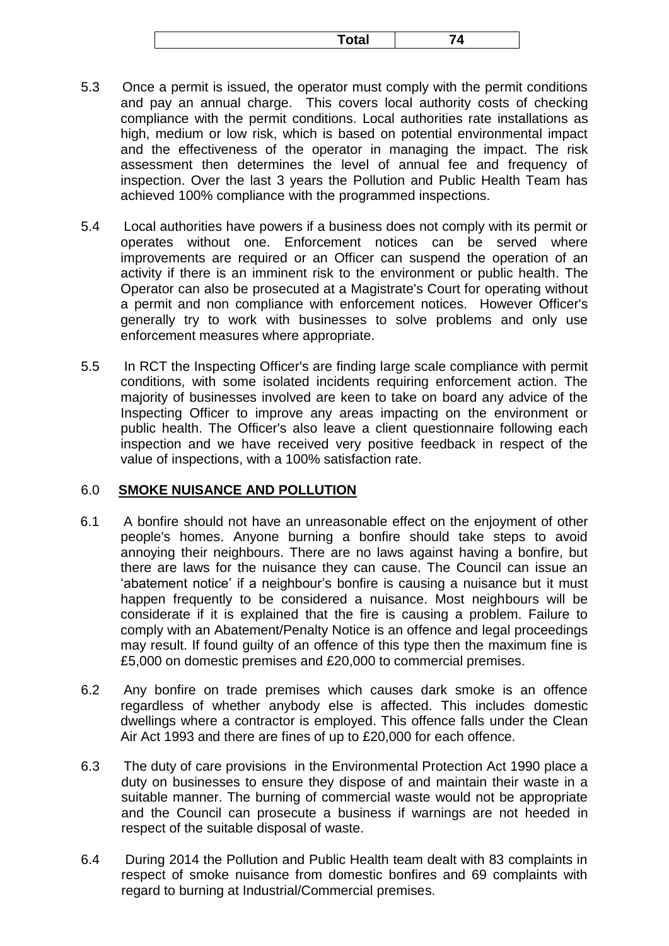- 5.3 Once a permit is issued, the operator must comply with the permit conditions and pay an annual charge. This covers local authority costs of checking compliance with the permit conditions. Local authorities rate installations as high, medium or low risk, which is based on potential environmental impact and the effectiveness of the operator in managing the impact. The risk assessment then determines the level of annual fee and frequency of inspection. Over the last 3 years the Pollution and Public Health Team has achieved 100% compliance with the programmed inspections.
- 5.4 Local authorities have powers if a business does not comply with its permit or operates without one. Enforcement notices can be served where improvements are required or an Officer can suspend the operation of an activity if there is an imminent risk to the environment or public health. The Operator can also be prosecuted at a Magistrate's Court for operating without a permit and non compliance with enforcement notices. However Officer's generally try to work with businesses to solve problems and only use enforcement measures where appropriate.
- 5.5 In RCT the Inspecting Officer's are finding large scale compliance with permit conditions, with some isolated incidents requiring enforcement action. The majority of businesses involved are keen to take on board any advice of the Inspecting Officer to improve any areas impacting on the environment or public health. The Officer's also leave a client questionnaire following each inspection and we have received very positive feedback in respect of the value of inspections, with a 100% satisfaction rate.

#### 6.0 **SMOKE NUISANCE AND POLLUTION**

- 6.1 A bonfire should not have an unreasonable effect on the enjoyment of other people's homes. Anyone burning a bonfire should take steps to avoid annoying their neighbours. There are no laws against having a bonfire, but there are laws for the nuisance they can cause. The Council can issue an 'abatement notice' if a neighbour's bonfire is causing a nuisance but it must happen frequently to be considered a nuisance. Most neighbours will be considerate if it is explained that the fire is causing a problem. Failure to comply with an Abatement/Penalty Notice is an offence and legal proceedings may result. If found guilty of an offence of this type then the maximum fine is £5,000 on domestic premises and £20,000 to commercial premises.
- 6.2 Any bonfire on trade premises which causes dark smoke is an offence regardless of whether anybody else is affected. This includes domestic dwellings where a contractor is employed. This offence falls under the Clean Air Act 1993 and there are fines of up to £20,000 for each offence.
- 6.3 The duty of care provisions in the Environmental Protection Act 1990 place a duty on businesses to ensure they dispose of and maintain their waste in a suitable manner. The burning of commercial waste would not be appropriate and the Council can prosecute a business if warnings are not heeded in respect of the suitable disposal of waste.
- 6.4 During 2014 the Pollution and Public Health team dealt with 83 complaints in respect of smoke nuisance from domestic bonfires and 69 complaints with regard to burning at Industrial/Commercial premises.